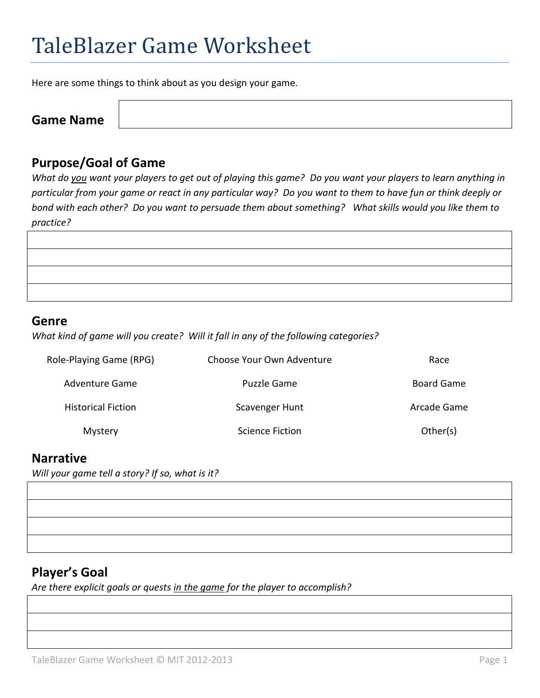# TaleBlazer Game Worksheet

Here are some things to think about as you design your game.

**Game Name**

## **Purpose/Goal of Game**

*What do you want your players to get out of playing this game? Do you want your players to learn anything in particular from your game or react in any particular way? Do you want to them to have fun or think deeply or bond with each other? Do you want to persuade them about something? What skills would you like them to practice?*

| <u> 1989 - Andrea Stadt Britain, amerikansk politik (* 1958)</u> |  |  |
|------------------------------------------------------------------|--|--|
| <u> 1989 - Andrea Stadt Britain, amerikansk politik (* 1958)</u> |  |  |
|                                                                  |  |  |
|                                                                  |  |  |
|                                                                  |  |  |

#### **Genre**

*What kind of game will you create? Will it fall in any of the following categories?* 

| Role-Playing Game (RPG)   | Choose Your Own Adventure | Race        |
|---------------------------|---------------------------|-------------|
| Adventure Game            | Puzzle Game               | Board Game  |
| <b>Historical Fiction</b> | Scavenger Hunt            | Arcade Game |
| Mystery                   | Science Fiction           | Other(s)    |

### **Narrative**

*Will your game tell a story? If so, what is it?*

## **Player's Goal**

*Are there explicit goals or quests in the game for the player to accomplish?*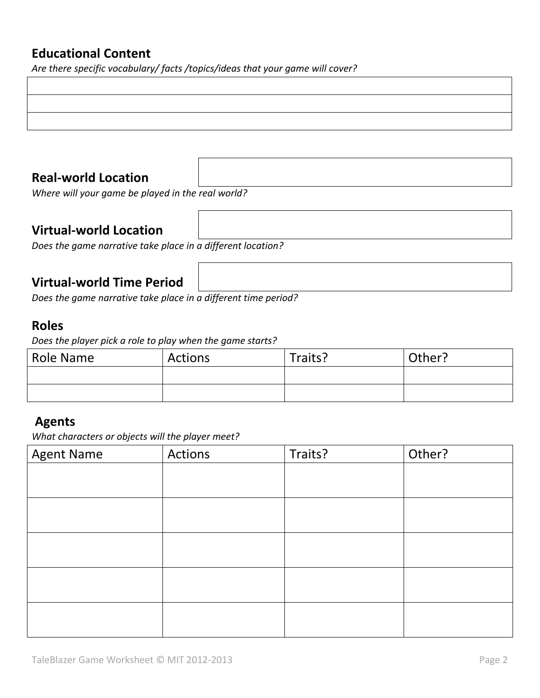## **Educational Content**

*Are there specific vocabulary/ facts /topics/ideas that your game will cover?*

# **Real-world Location**

*Where will your game be played in the real world?*

# **Virtual-world Location**

*Does the game narrative take place in a different location?*

# **Virtual-world Time Period**

*Does the game narrative take place in a different time period?*

## **Roles**

*Does the player pick a role to play when the game starts?*

| <b>Role Name</b> | Actions | Traits? | Other? |
|------------------|---------|---------|--------|
|                  |         |         |        |
|                  |         |         |        |

## **Agents**

*What characters or objects will the player meet?* 

| <b>Agent Name</b> | Actions | Traits? | Other? |
|-------------------|---------|---------|--------|
|                   |         |         |        |
|                   |         |         |        |
|                   |         |         |        |
|                   |         |         |        |
|                   |         |         |        |
|                   |         |         |        |
|                   |         |         |        |
|                   |         |         |        |
|                   |         |         |        |
|                   |         |         |        |